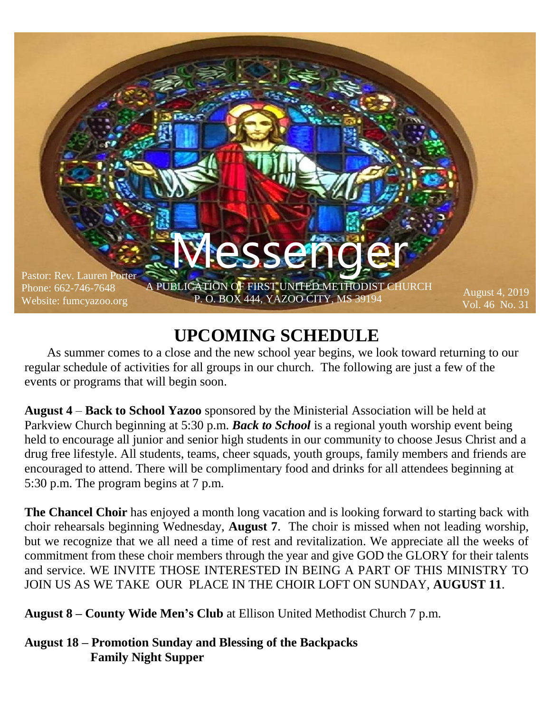

## **UPCOMING SCHEDULE**

 As summer comes to a close and the new school year begins, we look toward returning to our regular schedule of activities for all groups in our church. The following are just a few of the events or programs that will begin soon.

**August 4** – **Back to School Yazoo** sponsored by the Ministerial Association will be held at Parkview Church beginning at 5:30 p.m. *Back to School* is a regional youth worship event being held to encourage all junior and senior high students in our community to choose Jesus Christ and a drug free lifestyle. All students, teams, cheer squads, youth groups, family members and friends are encouraged to attend. There will be complimentary food and drinks for all attendees beginning at 5:30 p.m. The program begins at 7 p.m.

**The Chancel Choir** has enjoyed a month long vacation and is looking forward to starting back with choir rehearsals beginning Wednesday, **August 7**. The choir is missed when not leading worship, but we recognize that we all need a time of rest and revitalization. We appreciate all the weeks of commitment from these choir members through the year and give GOD the GLORY for their talents and service. WE INVITE THOSE INTERESTED IN BEING A PART OF THIS MINISTRY TO JOIN US AS WE TAKE OUR PLACE IN THE CHOIR LOFT ON SUNDAY, **AUGUST 11**.

**August 8 – County Wide Men's Club** at Ellison United Methodist Church 7 p.m.

**August 18 – Promotion Sunday and Blessing of the Backpacks Family Night Supper**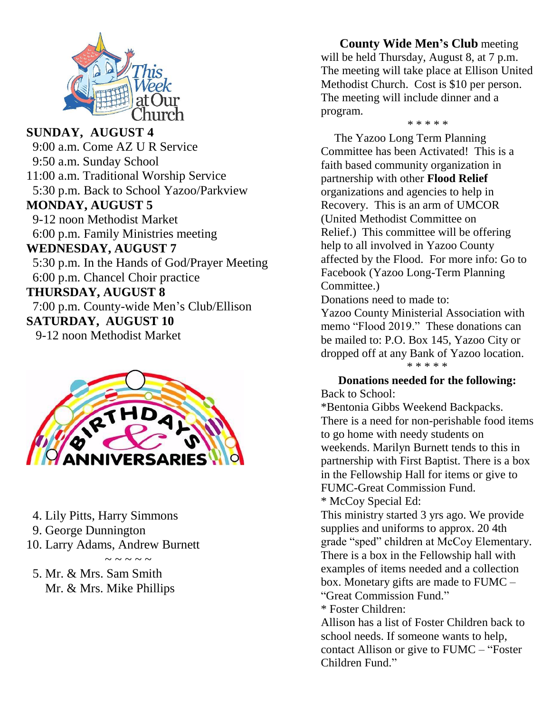

**SUNDAY, AUGUST 4** 9:00 a.m. Come AZ U R Service 9:50 a.m. Sunday School 11:00 a.m. Traditional Worship Service 5:30 p.m. Back to School Yazoo/Parkview **MONDAY, AUGUST 5** 9-12 noon Methodist Market 6:00 p.m. Family Ministries meeting **WEDNESDAY, AUGUST 7** 5:30 p.m. In the Hands of God/Prayer Meeting 6:00 p.m. Chancel Choir practice **THURSDAY, AUGUST 8** 7:00 p.m. County-wide Men's Club/Ellison **SATURDAY, AUGUST 10** 9-12 noon Methodist Market



- 4. Lily Pitts, Harry Simmons
- 9. George Dunnington
- 10. Larry Adams, Andrew Burnett

 $\sim$  ~ ~ ~ ~

 5. Mr. & Mrs. Sam Smith Mr. & Mrs. Mike Phillips

 **County Wide Men's Club** meeting will be held Thursday, August 8, at 7 p.m. The meeting will take place at Ellison United Methodist Church. Cost is \$10 per person. The meeting will include dinner and a program.

*\* \* \* \* \**

 The Yazoo Long Term Planning Committee has been Activated! This is a faith based community organization in partnership with other **Flood Relief** organizations and agencies to help in Recovery. This is an arm of UMCOR (United Methodist Committee on Relief.) This committee will be offering help to all involved in Yazoo County affected by the Flood. For more info: Go to Facebook (Yazoo Long-Term Planning Committee.)

Donations need to made to:

Yazoo County Ministerial Association with memo "Flood 2019." These donations can be mailed to: P.O. Box 145, Yazoo City or dropped off at any Bank of Yazoo location. \* \* \* \* \*

#### **Donations needed for the following:**

Back to School:

\*Bentonia Gibbs Weekend Backpacks. There is a need for non-perishable food items to go home with needy students on weekends. Marilyn Burnett tends to this in partnership with First Baptist. There is a box in the Fellowship Hall for items or give to FUMC-Great Commission Fund. \* McCoy Special Ed:

This ministry started 3 yrs ago. We provide supplies and uniforms to approx. 20 4th grade "sped" children at McCoy Elementary. There is a box in the Fellowship hall with examples of items needed and a collection box. Monetary gifts are made to FUMC – "Great Commission Fund."

\* Foster Children:

Allison has a list of Foster Children back to school needs. If someone wants to help, contact Allison or give to FUMC – "Foster Children Fund."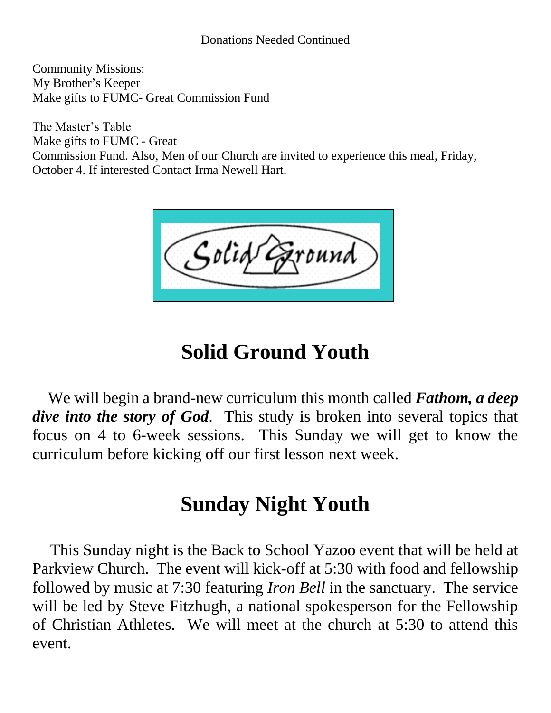#### Donations Needed Continued

Community Missions: My Brother's Keeper Make gifts to FUMC- Great Commission Fund

The Master's Table Make gifts to FUMC - Great Commission Fund. Also, Men of our Church are invited to experience this meal, Friday, October 4. If interested Contact Irma Newell Hart.

# **Solid Ground Youth**

 We will begin a brand-new curriculum this month called *Fathom, a deep dive into the story of God*. This study is broken into several topics that focus on 4 to 6-week sessions. This Sunday we will get to know the curriculum before kicking off our first lesson next week.

## **Sunday Night Youth**

 This Sunday night is the Back to School Yazoo event that will be held at Parkview Church. The event will kick-off at 5:30 with food and fellowship followed by music at 7:30 featuring *Iron Bell* in the sanctuary. The service will be led by Steve Fitzhugh, a national spokesperson for the Fellowship of Christian Athletes. We will meet at the church at 5:30 to attend this event.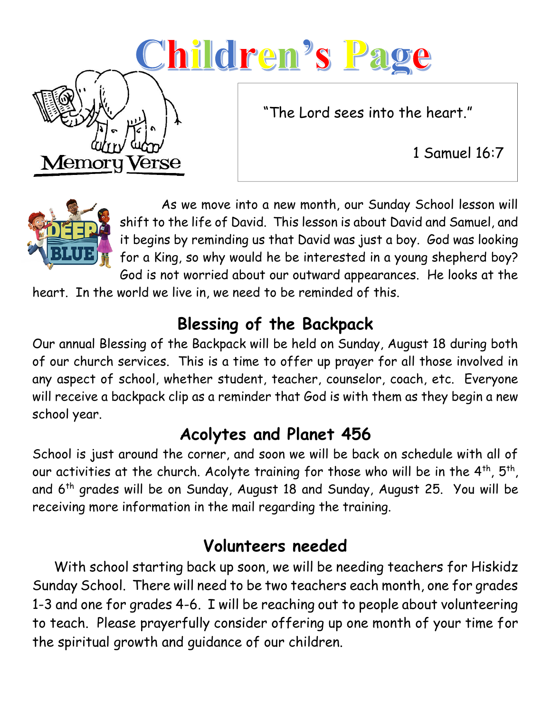# Children's Page

"The Lord sees into the heart."

1 Samuel 16:7



Memor

Verse

 As we move into a new month, our Sunday School lesson will shift to the life of David. This lesson is about David and Samuel, and it begins by reminding us that David was just a boy. God was looking for a King, so why would he be interested in a young shepherd boy? God is not worried about our outward appearances. He looks at the

heart. In the world we live in, we need to be reminded of this.

## **Blessing of the Backpack**

Our annual Blessing of the Backpack will be held on Sunday, August 18 during both of our church services. This is a time to offer up prayer for all those involved in any aspect of school, whether student, teacher, counselor, coach, etc. Everyone will receive a backpack clip as a reminder that God is with them as they begin a new school year.

## **Acolytes and Planet 456**

School is just around the corner, and soon we will be back on schedule with all of our activities at the church. Acolyte training for those who will be in the  $4^{\text{th}}$ ,  $5^{\text{th}}$ , and 6th grades will be on Sunday, August 18 and Sunday, August 25. You will be receiving more information in the mail regarding the training.

## **Volunteers needed**

 With school starting back up soon, we will be needing teachers for Hiskidz Sunday School. There will need to be two teachers each month, one for grades 1-3 and one for grades 4-6. I will be reaching out to people about volunteering to teach. Please prayerfully consider offering up one month of your time for the spiritual growth and guidance of our children.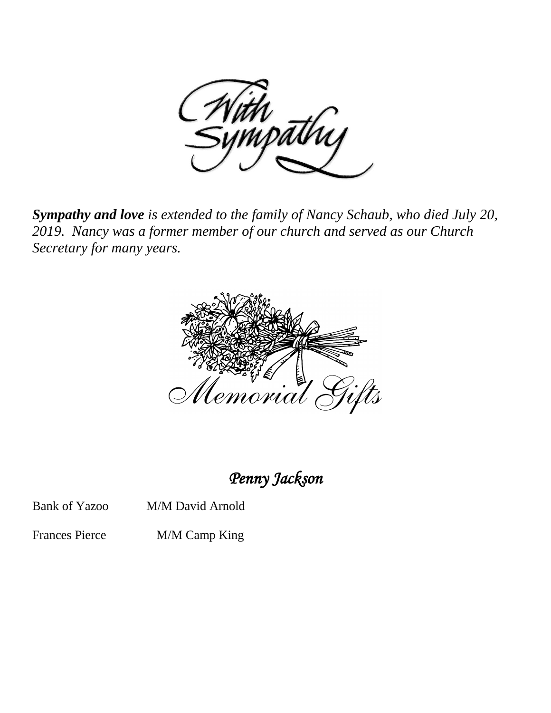

*Sympathy and love is extended to the family of Nancy Schaub, who died July 20, 2019. Nancy was a former member of our church and served as our Church Secretary for many years.*



*Penny Jackson* 

Bank of Yazoo M/M David Arnold

Frances Pierce M/M Camp King